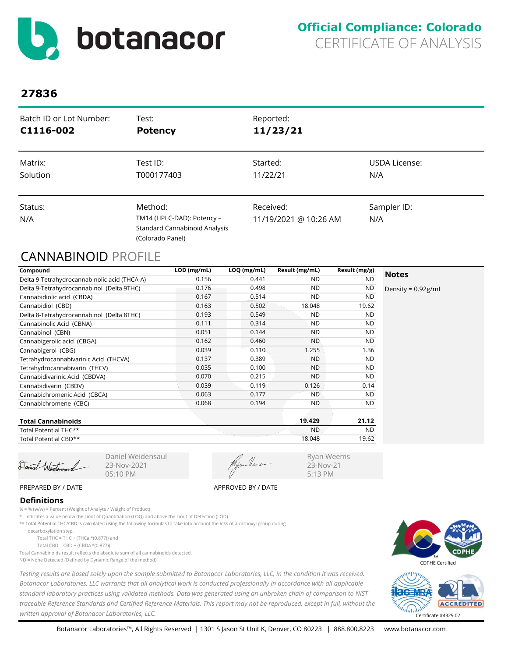

| Batch ID or Lot Number:<br>C1116-002 | Test:<br><b>Potency</b>                                                                | Reported:<br>11/23/21 |               |
|--------------------------------------|----------------------------------------------------------------------------------------|-----------------------|---------------|
| Matrix:                              | Test ID:                                                                               | Started:              | USDA License: |
| Solution                             | T000177403                                                                             | 11/22/21              | N/A           |
| Status:                              | Method:                                                                                | Received:             | Sampler ID:   |
| N/A                                  | TM14 (HPLC-DAD): Potency -<br><b>Standard Cannabinoid Analysis</b><br>(Colorado Panel) | 11/19/2021 @ 10:26 AM | N/A           |

# CANNABINOID PROFILE

| Compound                                     | LOD (mg/mL) | $LOQ$ (mg/mL) | Result (mg/mL) | Result (mg/g) |                       |
|----------------------------------------------|-------------|---------------|----------------|---------------|-----------------------|
| Delta 9-Tetrahydrocannabinolic acid (THCA-A) | 0.156       | 0.441         | <b>ND</b>      | <b>ND</b>     | <b>Notes</b>          |
| Delta 9-Tetrahydrocannabinol (Delta 9THC)    | 0.176       | 0.498         | <b>ND</b>      | <b>ND</b>     | Density = $0.92$ g/mL |
| Cannabidiolic acid (CBDA)                    | 0.167       | 0.514         | <b>ND</b>      | <b>ND</b>     |                       |
| Cannabidiol (CBD)                            | 0.163       | 0.502         | 18.048         | 19.62         |                       |
| Delta 8-Tetrahydrocannabinol (Delta 8THC)    | 0.193       | 0.549         | <b>ND</b>      | <b>ND</b>     |                       |
| Cannabinolic Acid (CBNA)                     | 0.111       | 0.314         | <b>ND</b>      | <b>ND</b>     |                       |
| Cannabinol (CBN)                             | 0.051       | 0.144         | <b>ND</b>      | <b>ND</b>     |                       |
| Cannabigerolic acid (CBGA)                   | 0.162       | 0.460         | <b>ND</b>      | <b>ND</b>     |                       |
| Cannabigerol (CBG)                           | 0.039       | 0.110         | 1.255          | 1.36          |                       |
| Tetrahydrocannabivarinic Acid (THCVA)        | 0.137       | 0.389         | <b>ND</b>      | <b>ND</b>     |                       |
| Tetrahydrocannabivarin (THCV)                | 0.035       | 0.100         | <b>ND</b>      | <b>ND</b>     |                       |
| Cannabidivarinic Acid (CBDVA)                | 0.070       | 0.215         | <b>ND</b>      | <b>ND</b>     |                       |
| Cannabidivarin (CBDV)                        | 0.039       | 0.119         | 0.126          | 0.14          |                       |
| Cannabichromenic Acid (CBCA)                 | 0.063       | 0.177         | <b>ND</b>      | <b>ND</b>     |                       |
| Cannabichromene (CBC)                        | 0.068       | 0.194         | <b>ND</b>      | <b>ND</b>     |                       |
| <b>Total Cannabinoids</b>                    |             |               | 19.429         | 21.12         |                       |
| Total Potential THC**                        |             |               | <b>ND</b>      | <b>ND</b>     |                       |

Total Potential CBD\*\*

Daniel Westerson

23-Nov-2021 05:10 PM

18.048 19.62

Ryan Weems 23-Nov-21 5:13 PM

#### PREPARED BY / DATE APPROVED BY / DATE

### **Definitions**

% = % (w/w) = Percent (Weight of Analyte / Weight of Product)

\* Indicates a value below the Limit of Quantitiation (LOQ) and above the Limit of Detection (LOD).

Daniel Weidensaul

\*\* Total Potential THC/CBD is calculated using the following formulas to take into account the loss of a carboxyl group during

decarboxylation step.

Total THC = THC + (THCa  $*(0.877)$ ) and

Total CBD = CBD + (CBDa \*(0.877))

Total Cannabinoids result reflects the absolute sum of all cannabinoids detected.

ND = None Detected (Defined by Dynamic Range of the method)

*Testing results are based solely upon the sample submitted to Botanacor Laboratories, LLC, in the condition it was received. Botanacor Laboratories, LLC warrants that all analytical work is conducted professionally in accordance with all applicable standard laboratory practices using validated methods. Data was generated using an unbroken chain of comparison to NIST traceable Reference Standards and Certified Reference Materials. This report may not be reproduced, except in full, without the written approval of Botanacor Laboratories, LLC.* Certificate #4329.02



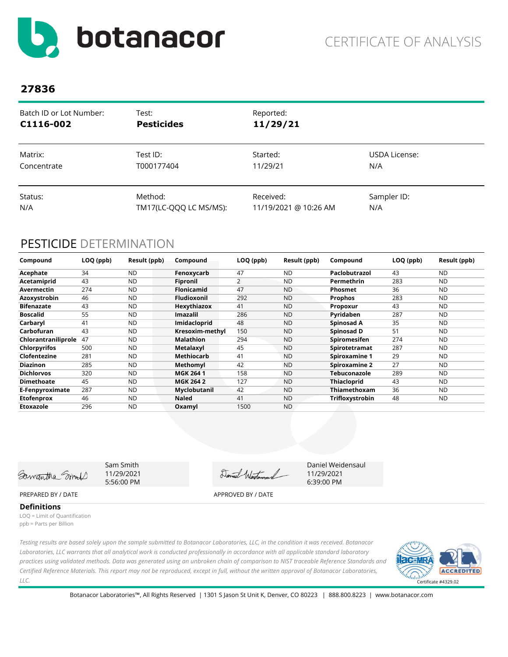

| Batch ID or Lot Number: | Test:                  | Reported:             |               |
|-------------------------|------------------------|-----------------------|---------------|
| C1116-002               | <b>Pesticides</b>      | 11/29/21              |               |
| Matrix:                 | Test ID:               | Started:              | USDA License: |
| Concentrate             | T000177404             | 11/29/21              | N/A           |
| Status:                 | Method:                | Received:             | Sampler ID:   |
| N/A                     | TM17(LC-QQQ LC MS/MS): | 11/19/2021 @ 10:26 AM | N/A           |

# PESTICIDE DETERMINATION

| Compound            | LOQ (ppb) | Result (ppb) | Compound           | LOQ (ppb) | Result (ppb) | Compound             | LOQ (ppb) | Result (ppb) |
|---------------------|-----------|--------------|--------------------|-----------|--------------|----------------------|-----------|--------------|
| Acephate            | 34        | <b>ND</b>    | Fenoxycarb         | 47        | <b>ND</b>    | Paclobutrazol        | 43        | <b>ND</b>    |
| Acetamiprid         | 43        | <b>ND</b>    | Fipronil           | 2         | <b>ND</b>    | Permethrin           | 283       | <b>ND</b>    |
| Avermectin          | 274       | <b>ND</b>    | <b>Flonicamid</b>  | 47        | <b>ND</b>    | <b>Phosmet</b>       | 36        | <b>ND</b>    |
| Azoxystrobin        | 46        | <b>ND</b>    | <b>Fludioxonil</b> | 292       | <b>ND</b>    | <b>Prophos</b>       | 283       | <b>ND</b>    |
| <b>Bifenazate</b>   | 43        | <b>ND</b>    | Hexythiazox        | 41        | <b>ND</b>    | Propoxur             | 43        | <b>ND</b>    |
| <b>Boscalid</b>     | 55        | <b>ND</b>    | <b>Imazalil</b>    | 286       | <b>ND</b>    | Pyridaben            | 287       | <b>ND</b>    |
| Carbaryl            | 41        | <b>ND</b>    | Imidacloprid       | 48        | <b>ND</b>    | Spinosad A           | 35        | <b>ND</b>    |
| Carbofuran          | 43        | <b>ND</b>    | Kresoxim-methyl    | 150       | <b>ND</b>    | Spinosad D           | 51        | <b>ND</b>    |
| Chlorantraniliprole | 47        | <b>ND</b>    | <b>Malathion</b>   | 294       | <b>ND</b>    | <b>Spiromesifen</b>  | 274       | <b>ND</b>    |
| <b>Chlorpyrifos</b> | 500       | <b>ND</b>    | Metalaxvl          | 45        | <b>ND</b>    | Spirotetramat        | 287       | <b>ND</b>    |
| Clofentezine        | 281       | <b>ND</b>    | Methiocarb         | 41        | <b>ND</b>    | <b>Spiroxamine 1</b> | 29        | <b>ND</b>    |
| <b>Diazinon</b>     | 285       | <b>ND</b>    | Methomyl           | 42        | <b>ND</b>    | <b>Spiroxamine 2</b> | 27        | <b>ND</b>    |
| <b>Dichlorvos</b>   | 320       | <b>ND</b>    | <b>MGK 2641</b>    | 158       | <b>ND</b>    | Tebuconazole         | 289       | <b>ND</b>    |
| <b>Dimethoate</b>   | 45        | <b>ND</b>    | <b>MGK 264 2</b>   | 127       | <b>ND</b>    | <b>Thiacloprid</b>   | 43        | <b>ND</b>    |
| E-Fenpyroximate     | 287       | <b>ND</b>    | Myclobutanil       | 42        | <b>ND</b>    | Thiamethoxam         | 36        | ND.          |
| <b>Etofenprox</b>   | 46        | <b>ND</b>    | <b>Naled</b>       | 41        | <b>ND</b>    | Trifloxystrobin      | 48        | ND.          |
| Etoxazole           | 296       | <b>ND</b>    | Oxamyl             | 1500      | <b>ND</b>    |                      |           |              |

Samantha Smil

Sam Smith 11/29/2021 5:56:00 PM

Daniel Westerson

Daniel Weidensaul 11/29/2021 6:39:00 PM

### PREPARED BY / DATE APPROVED BY / DATE

**Definitions**

LOQ = Limit of Quantification ppb = Parts per Billion

*Testing results are based solely upon the sample submitted to Botanacor Laboratories, LLC, in the condition it was received. Botanacor Laboratories, LLC warrants that all analytical work is conducted professionally in accordance with all applicable standard laboratory practices using validated methods. Data was generated using an unbroken chain of comparison to NIST traceable Reference Standards and Certified Reference Materials. This report may not be reproduced, except in full, without the written approval of Botanacor Laboratories, LLC.* 

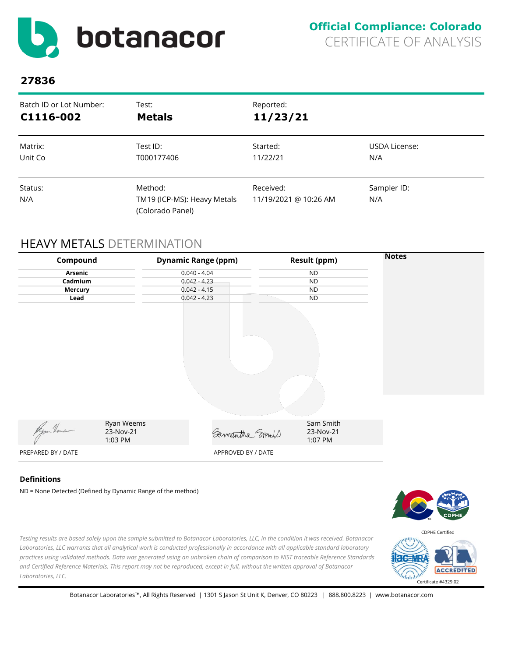

| Batch ID or Lot Number: | Test:                                                      | Reported:                          |                    |
|-------------------------|------------------------------------------------------------|------------------------------------|--------------------|
| C1116-002               | <b>Metals</b>                                              | 11/23/21                           |                    |
| Matrix:                 | Test ID:                                                   | Started:                           | USDA License:      |
| Unit Co                 | T000177406                                                 | 11/22/21                           | N/A                |
| Status:<br>N/A          | Method:<br>TM19 (ICP-MS): Heavy Metals<br>(Colorado Panel) | Received:<br>11/19/2021 @ 10:26 AM | Sampler ID:<br>N/A |

# HEAVY METALS DETERMINATION

| Compound           |                                    | <b>Dynamic Range (ppm)</b> | <b>Result (ppm)</b>               | <b>Notes</b> |
|--------------------|------------------------------------|----------------------------|-----------------------------------|--------------|
| Arsenic            |                                    | $0.040 - 4.04$             | <b>ND</b>                         |              |
| Cadmium            |                                    | $0.042 - 4.23$             | <b>ND</b>                         |              |
| Mercury            |                                    | $0.042 - 4.15$             | <b>ND</b>                         |              |
| Lead               |                                    | $0.042 - 4.23$             | <b>ND</b>                         |              |
| Myon Heus          | Ryan Weems<br>23-Nov-21<br>1:03 PM | Samantha Smort             | Sam Smith<br>23-Nov-21<br>1:07 PM |              |
| PREPARED BY / DATE |                                    | APPROVED BY / DATE         |                                   |              |

### **Definitions**

ND = None Detected (Defined by Dynamic Range of the method)



*Testing results are based solely upon the sample submitted to Botanacor Laboratories, LLC, in the condition it was received. Botanacor Laboratories, LLC warrants that all analytical work is conducted professionally in accordance with all applicable standard laboratory practices using validated methods. Data was generated using an unbroken chain of comparison to NIST traceable Reference Standards and Certified Reference Materials. This report may not be reproduced, except in full, without the written approval of Botanacor Laboratories, LLC.* 

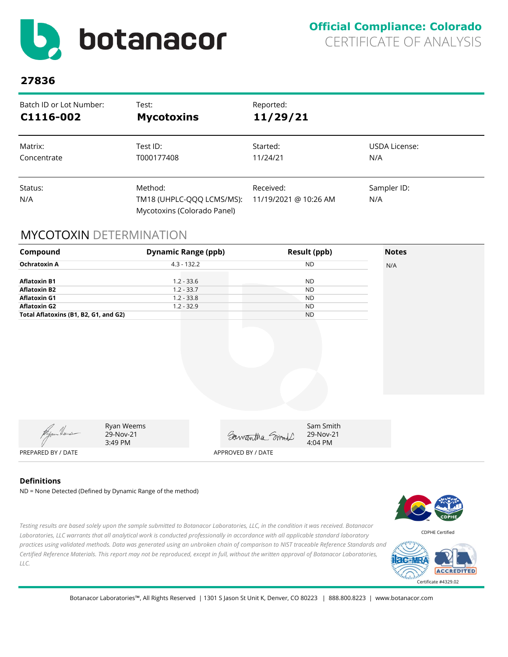

| Batch ID or Lot Number: | Test:                                                               | Reported:                          |                    |
|-------------------------|---------------------------------------------------------------------|------------------------------------|--------------------|
| C1116-002               | <b>Mycotoxins</b>                                                   | 11/29/21                           |                    |
| Matrix:                 | Test ID:                                                            | Started:                           | USDA License:      |
| Concentrate             | T000177408                                                          | 11/24/21                           | N/A                |
| Status:<br>N/A          | Method:<br>TM18 (UHPLC-QQQ LCMS/MS):<br>Mycotoxins (Colorado Panel) | Received:<br>11/19/2021 @ 10:26 AM | Sampler ID:<br>N/A |

# MYCOTOXIN DETERMINATION

| Compound                              |                                    | <b>Dynamic Range (ppb)</b> |                    | <b>Result (ppb)</b>               | <b>Notes</b> |
|---------------------------------------|------------------------------------|----------------------------|--------------------|-----------------------------------|--------------|
| <b>Ochratoxin A</b>                   |                                    | $4.3 - 132.2$              |                    | <b>ND</b>                         | N/A          |
|                                       |                                    |                            |                    |                                   |              |
| <b>Aflatoxin B1</b>                   |                                    | $1.2 - 33.6$               |                    | <b>ND</b>                         |              |
| <b>Aflatoxin B2</b>                   |                                    | $1.2 - 33.7$               |                    | <b>ND</b>                         |              |
| <b>Aflatoxin G1</b>                   |                                    | $1.2 - 33.8$               |                    | <b>ND</b>                         |              |
| <b>Aflatoxin G2</b>                   |                                    | $1.2 - 32.9$               |                    | <b>ND</b>                         |              |
| Total Aflatoxins (B1, B2, G1, and G2) |                                    |                            |                    | <b>ND</b>                         |              |
|                                       |                                    |                            |                    |                                   |              |
| Ryan Heus                             | Ryan Weems<br>29-Nov-21<br>3:49 PM |                            | Samantha Smold     | Sam Smith<br>29-Nov-21<br>4:04 PM |              |
| PREPARED BY / DATE                    |                                    |                            | APPROVED BY / DATE |                                   |              |

### **Definitions**

ND = None Detected (Defined by Dynamic Range of the method)



 $d_{\rm mln}$ 

Certificate #4329.02

**ACCREDITED** 

*Testing results are based solely upon the sample submitted to Botanacor Laboratories, LLC, in the condition it was received. Botanacor Laboratories, LLC warrants that all analytical work is conducted professionally in accordance with all applicable standard laboratory practices using validated methods. Data was generated using an unbroken chain of comparison to NIST traceable Reference Standards and Certified Reference Materials. This report may not be reproduced, except in full, without the written approval of Botanacor Laboratories, LLC.*